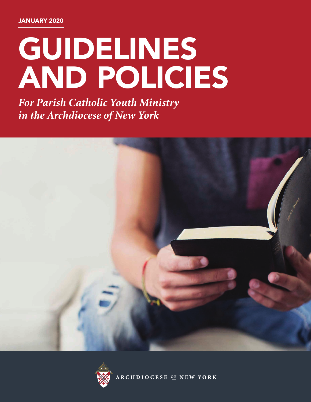# GUIDELINES AND POLICIES

*For Parish Catholic Youth Ministry in the Archdiocese of New York*





RCHDIOCESE OF NEW YORK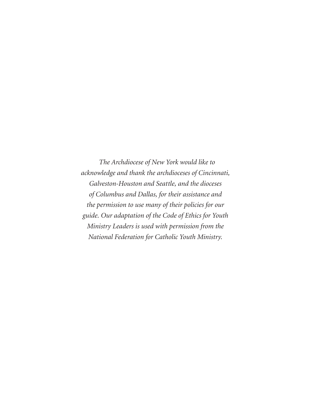*The Archdiocese of New York would like to acknowledge and thank the archdioceses of Cincinnati, Galveston-Houston and Seattle, and the dioceses of Columbus and Dallas, for their assistance and the permission to use many of their policies for our guide. Our adaptation of the Code of Ethics for Youth Ministry Leaders is used with permission from the National Federation for Catholic Youth Ministry.*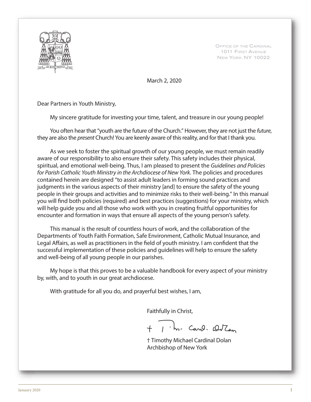

OFFICE OF THE CARDINAL 1011 FIRST AVENUE NEW YORK, NY 10022

March 2, 2020

Dear Partners in Youth Ministry,

My sincere gratitude for investing your time, talent, and treasure in our young people!

You often hear that "youth are the future of the Church." However, they are not just the future, they are also the *present* Church! You are keenly aware of this reality, and for that I thank you.

As we seek to foster the spiritual growth of our young people, we must remain readily aware of our responsibility to also ensure their safety. This safety includes their physical, spiritual, and emotional well-being. Thus, I am pleased to present the Guidelines and Policies for Parish Catholic Youth Ministry in the Archdiocese of New York. The policies and procedures contained herein are designed "to assist adult leaders in forming sound practices and judgments in the various aspects of their ministry [and] to ensure the safety of the young people in their groups and activities and to minimize risks to their well-being." In this manual you will find both policies (required) and best practices (suggestions) for your ministry, which will help guide you and all those who work with you in creating fruitful opportunities for encounter and formation in ways that ensure all aspects of the young person's safety.

This manual is the result of countless hours of work, and the collaboration of the Departments of Youth Faith Formation, Safe Environment, Catholic Mutual Insurance, and Legal Affairs, as well as practitioners in the field of youth ministry. I am confident that the successful implementation of these policies and guidelines will help to ensure the safety and well-being of all young people in our parishes.

My hope is that this proves to be a valuable handbook for every aspect of your ministry by, with, and to youth in our great archdiocese.

With gratitude for all you do, and prayerful best wishes, I am,

Faithfully in Christ,

1 m. Carol. Outan

 † Timothy Michael Cardinal Dolan Archbishop of New York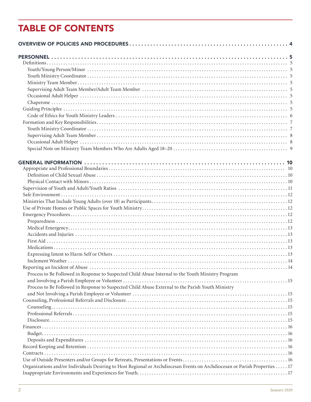## **TABLE OF CONTENTS**

| Process to Be Followed in Response to Suspected Child Abuse Internal to the Youth Ministry Program                        |  |
|---------------------------------------------------------------------------------------------------------------------------|--|
|                                                                                                                           |  |
| Process to Be Followed in Response to Suspected Child Abuse External to the Parish Youth Ministry                         |  |
|                                                                                                                           |  |
|                                                                                                                           |  |
|                                                                                                                           |  |
|                                                                                                                           |  |
|                                                                                                                           |  |
|                                                                                                                           |  |
|                                                                                                                           |  |
|                                                                                                                           |  |
|                                                                                                                           |  |
|                                                                                                                           |  |
|                                                                                                                           |  |
|                                                                                                                           |  |
| Organizations and/or Individuals Desiring to Host Regional or Archdiocesan Events on Archdiocesan or Parish Properties 17 |  |
|                                                                                                                           |  |